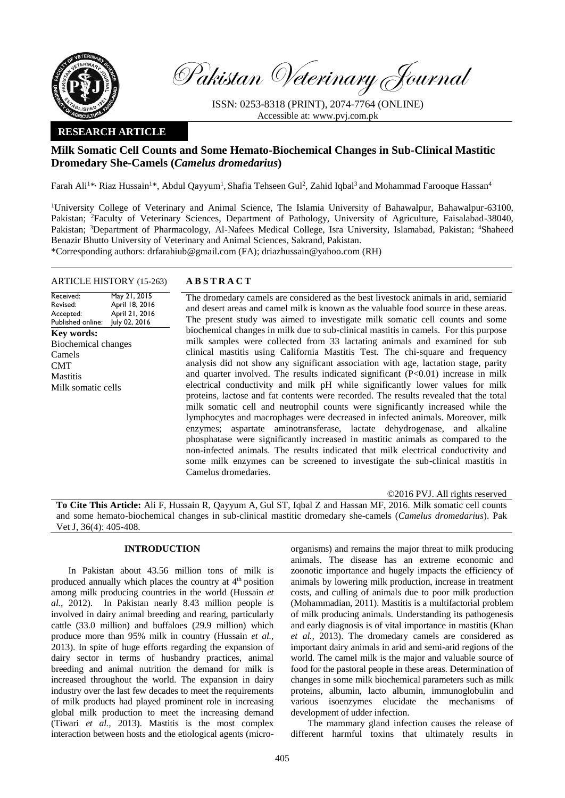

Pakistan Veterinary Journal

ISSN: 0253-8318 (PRINT), 2074-7764 (ONLINE) Accessible at: [www.pvj.com.pk](http://www.pvj.com.pk/)

## **RESEARCH ARTICLE**

# **Milk Somatic Cell Counts and Some Hemato-Biochemical Changes in Sub-Clinical Mastitic Dromedary She-Camels (***Camelus dromedarius***)**

Farah Ali<sup>1\*,</sup> Riaz Hussain<sup>1\*</sup>, Abdul Qayyum<sup>1</sup>, Shafia Tehseen Gul<sup>2</sup>, Zahid Iqbal<sup>3</sup> and Mohammad Farooque Hassan<sup>4</sup>

<sup>1</sup>University College of Veterinary and Animal Science, The Islamia University of Bahawalpur, Bahawalpur-63100, Pakistan; <sup>2</sup>Faculty of Veterinary Sciences, Department of Pathology, University of Agriculture, Faisalabad-38040, Pakistan; <sup>3</sup>Department of Pharmacology, Al-Nafees Medical College, Isra University, Islamabad, Pakistan; <sup>4</sup>Shaheed Benazir Bhutto University of Veterinary and Animal Sciences, Sakrand, Pakistan.

\*Corresponding authors: [drfarahiub@gmail.com](mailto:drfarahiub@gmail.com) (FA); [driazhussain@yahoo.com](mailto:driazhussain@yahoo.com) (RH)

## ARTICLE HISTORY (15-263) **A B S T R A C T**

Received: Revised: Accepted: Published online: May 21, 2015 April 18, 2016 April 21, 2016 July 02, 2016 **Key words:**  Biochemical changes Camels CMT **Mastitis** Milk somatic cells

The dromedary camels are considered as the best livestock animals in arid, semiarid and desert areas and camel milk is known as the valuable food source in these areas. The present study was aimed to investigate milk somatic cell counts and some biochemical changes in milk due to sub-clinical mastitis in camels. For this purpose milk samples were collected from 33 lactating animals and examined for sub clinical mastitis using California Mastitis Test. The chi-square and frequency analysis did not show any significant association with age, lactation stage, parity and quarter involved. The results indicated significant  $(P<0.01)$  increase in milk electrical conductivity and milk pH while significantly lower values for milk proteins, lactose and fat contents were recorded. The results revealed that the total milk somatic cell and neutrophil counts were significantly increased while the lymphocytes and macrophages were decreased in infected animals. Moreover, milk enzymes; aspartate aminotransferase, lactate dehydrogenase, and alkaline phosphatase were significantly increased in mastitic animals as compared to the non-infected animals. The results indicated that milk electrical conductivity and some milk enzymes can be screened to investigate the sub-clinical mastitis in Camelus dromedaries.

©2016 PVJ. All rights reserved

**To Cite This Article:** Ali F, Hussain R, Qayyum A, Gul ST, Iqbal Z and Hassan MF, 2016. Milk somatic cell counts and some hemato-biochemical changes in sub-clinical mastitic dromedary she-camels (*Camelus dromedarius*). Pak Vet J, 36(4): 405-408.

## **INTRODUCTION**

In Pakistan about 43.56 million tons of milk is produced annually which places the country at 4<sup>th</sup> position among milk producing countries in the world (Hussain *et al.,* 2012). In Pakistan nearly 8.43 million people is involved in dairy animal breeding and rearing, particularly cattle (33.0 million) and buffaloes (29.9 million) which produce more than 95% milk in country (Hussain *et al.,* 2013). In spite of huge efforts regarding the expansion of dairy sector in terms of husbandry practices, animal breeding and animal nutrition the demand for milk is increased throughout the world. The expansion in dairy industry over the last few decades to meet the requirements of milk products had played prominent role in increasing global milk production to meet the increasing demand (Tiwari *et al.,* 2013). Mastitis is the most complex interaction between hosts and the etiological agents (microorganisms) and remains the major threat to milk producing animals. The disease has an extreme economic and zoonotic importance and hugely impacts the efficiency of animals by lowering milk production, increase in treatment costs, and culling of animals due to poor milk production (Mohammadian, 2011). Mastitis is a multifactorial problem of milk producing animals. Understanding its pathogenesis and early diagnosis is of vital importance in mastitis (Khan *et al.,* 2013). The dromedary camels are considered as important dairy animals in arid and semi-arid regions of the world. The camel milk is the major and valuable source of food for the pastoral people in these areas. Determination of changes in some milk biochemical parameters such as milk proteins, albumin, lacto albumin, immunoglobulin and various isoenzymes elucidate the mechanisms of development of udder infection.

The mammary gland infection causes the release of different harmful toxins that ultimately results in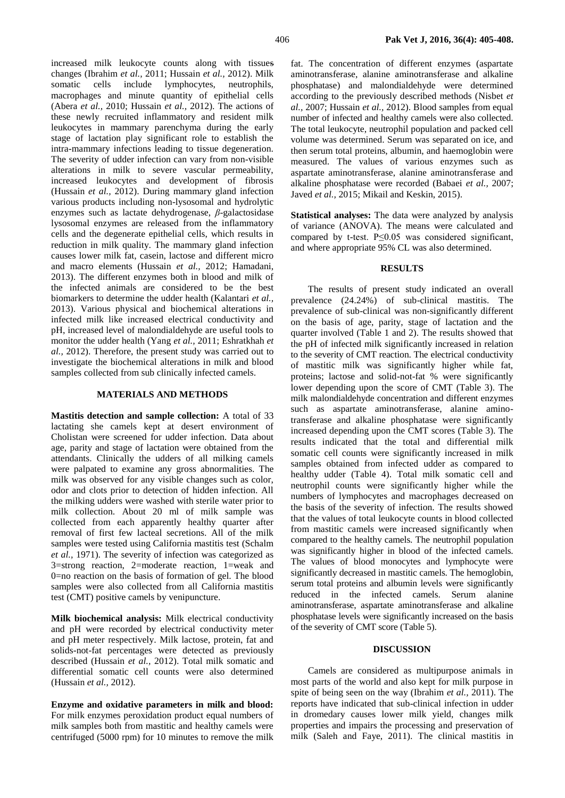increased milk leukocyte counts along with tissues changes (Ibrahim *et al.,* 2011; Hussain *et al.,* 2012). Milk somatic cells include lymphocytes, neutrophils, macrophages and minute quantity of epithelial cells (Abera *et al.,* 2010; Hussain *et al.,* 2012). The actions of these newly recruited inflammatory and resident milk leukocytes in mammary parenchyma during the early stage of lactation play significant role to establish the intra-mammary infections leading to tissue degeneration. The severity of udder infection can vary from non-visible alterations in milk to severe vascular permeability, increased leukocytes and development of fibrosis (Hussain *et al.,* 2012). During mammary gland infection various products including non-lysosomal and hydrolytic enzymes such as lactate dehydrogenase, *β*-galactosidase lysosomal enzymes are released from the inflammatory cells and the degenerate epithelial cells, which results in reduction in milk quality. The mammary gland infection causes lower milk fat, casein, lactose and different micro and macro elements (Hussain *et al.,* 2012; Hamadani, 2013). The different enzymes both in blood and milk of the infected animals are considered to be the best biomarkers to determine the udder health (Kalantari *et al.,* 2013). Various physical and biochemical alterations in infected milk like increased electrical conductivity and

pH, increased level of malondialdehyde are useful tools to monitor the udder health (Yang *et al.,* 2011; Eshratkhah *et al.,* 2012). Therefore, the present study was carried out to investigate the biochemical alterations in milk and blood samples collected from sub clinically infected camels.

#### **MATERIALS AND METHODS**

**Mastitis detection and sample collection:** A total of 33 lactating she camels kept at desert environment of Cholistan were screened for udder infection. Data about age, parity and stage of lactation were obtained from the attendants. Clinically the udders of all milking camels were palpated to examine any gross abnormalities. The milk was observed for any visible changes such as color, odor and clots prior to detection of hidden infection. All the milking udders were washed with sterile water prior to milk collection. About 20 ml of milk sample was collected from each apparently healthy quarter after removal of first few lacteal secretions. All of the milk samples were tested using California mastitis test (Schalm *et al.,* 1971). The severity of infection was categorized as 3=strong reaction, 2=moderate reaction, 1=weak and 0=no reaction on the basis of formation of gel. The blood samples were also collected from all California mastitis test (CMT) positive camels by venipuncture.

**Milk biochemical analysis:** Milk electrical conductivity and pH were recorded by electrical conductivity meter and pH meter respectively. Milk lactose, protein, fat and solids-not-fat percentages were detected as previously described (Hussain *et al.,* 2012). Total milk somatic and differential somatic cell counts were also determined (Hussain *et al.,* 2012).

**Enzyme and oxidative parameters in milk and blood:**  For milk enzymes peroxidation product equal numbers of milk samples both from mastitic and healthy camels were centrifuged (5000 rpm) for 10 minutes to remove the milk fat. The concentration of different enzymes (aspartate aminotransferase, alanine aminotransferase and alkaline phosphatase) and malondialdehyde were determined according to the previously described methods (Nisbet *et al.,* 2007; Hussain *et al.,* 2012). Blood samples from equal number of infected and healthy camels were also collected. The total leukocyte, neutrophil population and packed cell volume was determined. Serum was separated on ice, and then serum total proteins, albumin, and haemoglobin were measured. The values of various enzymes such as aspartate aminotransferase, alanine aminotransferase and alkaline phosphatase were recorded (Babaei *et al.,* 2007; Javed *et al.,* 2015; Mikail and Keskin, 2015).

**Statistical analyses:** The data were analyzed by analysis of variance (ANOVA). The means were calculated and compared by t-test. P≤0.05 was considered significant, and where appropriate 95% CL was also determined.

#### **RESULTS**

The results of present study indicated an overall prevalence (24.24%) of sub-clinical mastitis. The prevalence of sub-clinical was non-significantly different on the basis of age, parity, stage of lactation and the quarter involved (Table 1 and 2). The results showed that the pH of infected milk significantly increased in relation to the severity of CMT reaction. The electrical conductivity of mastitic milk was significantly higher while fat, proteins; lactose and solid-not-fat % were significantly lower depending upon the score of CMT (Table 3). The milk malondialdehyde concentration and different enzymes such as aspartate aminotransferase, alanine aminotransferase and alkaline phosphatase were significantly increased depending upon the CMT scores (Table 3). The results indicated that the total and differential milk somatic cell counts were significantly increased in milk samples obtained from infected udder as compared to healthy udder (Table 4). Total milk somatic cell and neutrophil counts were significantly higher while the numbers of lymphocytes and macrophages decreased on the basis of the severity of infection. The results showed that the values of total leukocyte counts in blood collected from mastitic camels were increased significantly when compared to the healthy camels. The neutrophil population was significantly higher in blood of the infected camels. The values of blood monocytes and lymphocyte were significantly decreased in mastitic camels. The hemoglobin, serum total proteins and albumin levels were significantly reduced in the infected camels. Serum alanine aminotransferase, aspartate aminotransferase and alkaline phosphatase levels were significantly increased on the basis of the severity of CMT score (Table 5).

## **DISCUSSION**

Camels are considered as multipurpose animals in most parts of the world and also kept for milk purpose in spite of being seen on the way (Ibrahim *et al.,* 2011). The reports have indicated that sub-clinical infection in udder in dromedary causes lower milk yield, changes milk properties and impairs the processing and preservation of milk (Saleh and Faye, 2011). The clinical mastitis in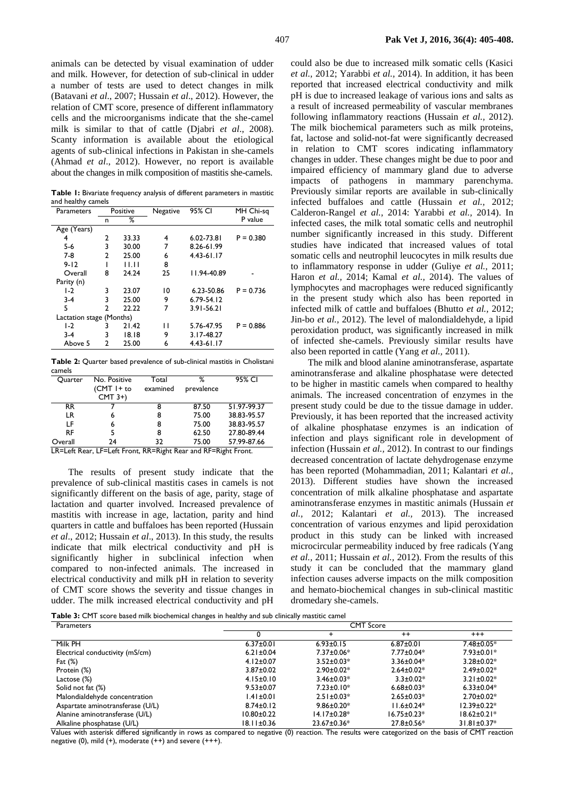animals can be detected by visual examination of udder and milk. However, for detection of sub-clinical in udder a number of tests are used to detect changes in milk (Batavani *et al*., 2007; Hussain *et al*., 2012). However, the relation of CMT score, presence of different inflammatory cells and the microorganisms indicate that the she-camel milk is similar to that of cattle (Djabri *et al*., 2008). Scanty information is available about the etiological agents of sub-clinical infections in Pakistan in she-camels (Ahmad *et al*., 2012). However, no report is available about the changes in milk composition of mastitis she-camels.

**Table 1:** Bivariate frequency analysis of different parameters in mastitic and healthy camels

| ,<br>Parameters          | Positive |       | Negative | 95% CI         | MH Chi-sq   |
|--------------------------|----------|-------|----------|----------------|-------------|
|                          | n        | ℅     |          |                | P value     |
| Age (Years)              |          |       |          |                |             |
| 4                        | 2        | 33.33 | 4        | $6.02 - 73.81$ | $P = 0.380$ |
| 5-6                      | 3        | 30.00 | 7        | 8.26-61.99     |             |
| $7-8$                    | 2        | 25.00 | 6        | $4.43 - 61.17$ |             |
| $9 - 12$                 |          | 11.11 | 8        |                |             |
| Overall                  | 8        | 24.24 | 25       | 11.94-40.89    |             |
| Parity (n)               |          |       |          |                |             |
| $1-2$                    | 3        | 23.07 | 10       | 6.23-50.86     | $P = 0.736$ |
| $3-4$                    | 3        | 25.00 | 9        | $6.79 - 54.12$ |             |
| 5                        | 2        | 22.22 | 7        | $3.91 - 56.21$ |             |
| Lactation stage (Months) |          |       |          |                |             |
| $1-2$                    | 3        | 21.42 | П        | 5.76-47.95     | $P = 0.886$ |
| $3-4$                    | 3        | 18.18 | 9        | 3.17-48.27     |             |
| Above 5                  | 2        | 25.00 | 6        | $4.43 - 61.17$ |             |

**Table 2:** Quarter based prevalence of sub-clinical mastitis in Cholistani camels

| Ouarter      | No. Positive<br>$(CMT I + to$<br>$CMT$ 3+) | Total<br>examined | %<br>prevalence   | 95% CI      |
|--------------|--------------------------------------------|-------------------|-------------------|-------------|
| RR.          |                                            | 8                 | 87.50             | 51.97-99.37 |
| LR           | 6                                          | 8                 | 75.00             | 38.83-95.57 |
| ΙF           | 6                                          | 8                 | 75.00             | 38.83-95.57 |
| <b>RF</b>    |                                            | 8                 | 62.50             | 27.80-89.44 |
| Overall<br>. | 24<br>.                                    | 32<br>--<br>.     | 75.00<br>$\cdots$ | 57.99-87.66 |

LR=Left Rear, LF=Left Front, RR=Right Rear and RF=Right Front.

The results of present study indicate that the prevalence of sub-clinical mastitis cases in camels is not significantly different on the basis of age, parity, stage of lactation and quarter involved. Increased prevalence of mastitis with increase in age, lactation, parity and hind quarters in cattle and buffaloes has been reported (Hussain *et al*., 2012; Hussain *et al*., 2013). In this study, the results indicate that milk electrical conductivity and pH is significantly higher in subclinical infection when compared to non-infected animals. The increased in electrical conductivity and milk pH in relation to severity of CMT score shows the severity and tissue changes in udder. The milk increased electrical conductivity and pH could also be due to increased milk somatic cells (Kasici *et al.,* 2012; Yarabbi *et al.,* 2014). In addition, it has been reported that increased electrical conductivity and milk pH is due to increased leakage of various ions and salts as a result of increased permeability of vascular membranes following inflammatory reactions (Hussain *et al.,* 2012). The milk biochemical parameters such as milk proteins, fat, lactose and solid-not-fat were significantly decreased in relation to CMT scores indicating inflammatory changes in udder. These changes might be due to poor and impaired efficiency of mammary gland due to adverse impacts of pathogens in mammary parenchyma. Previously similar reports are available in sub-clinically infected buffaloes and cattle (Hussain *et al.,* 2012; Calderon-Rangel *et al.,* 2014: Yarabbi *et al.,* 2014). In infected cases, the milk total somatic cells and neutrophil number significantly increased in this study. Different studies have indicated that increased values of total somatic cells and neutrophil leucocytes in milk results due to inflammatory response in udder (Guliye *et al.,* 2011; Haron *et al.,* 2014; Kamal *et al.,* 2014). The values of lymphocytes and macrophages were reduced significantly in the present study which also has been reported in infected milk of cattle and buffaloes (Bhutto *et al.,* 2012; Jin-bo *et al.,* 2012). The level of malondialdehyde, a lipid peroxidation product, was significantly increased in milk of infected she-camels. Previously similar results have also been reported in cattle (Yang *et al.,* 2011).

The milk and blood alanine aminotransferase, aspartate aminotransferase and alkaline phosphatase were detected to be higher in mastitic camels when compared to healthy animals. The increased concentration of enzymes in the present study could be due to the tissue damage in udder. Previously, it has been reported that the increased activity of alkaline phosphatase enzymes is an indication of infection and plays significant role in development of infection (Hussain *et al.,* 2012). In contrast to our findings decreased concentration of lactate dehydrogenase enzyme has been reported (Mohammadian, 2011; Kalantari *et al.,* 2013). Different studies have shown the increased concentration of milk alkaline phosphatase and aspartate aminotransferase enzymes in mastitic animals (Hussain *et al.,* 2012; Kalantari *et al.,* 2013). The increased concentration of various enzymes and lipid peroxidation product in this study can be linked with increased microcircular permeability induced by free radicals (Yang *et al.,* 2011; Hussain *et al.,* 2012). From the results of this study it can be concluded that the mammary gland infection causes adverse impacts on the milk composition and hemato-biochemical changes in sub**-**clinical mastitic dromedary she-camels.

**Table 3:** CMT score based milk biochemical changes in healthy and sub clinically mastitic camel

| Parameters                       | <b>CMT Score</b> |                    |                   |                    |
|----------------------------------|------------------|--------------------|-------------------|--------------------|
|                                  |                  | ÷                  | $++$              | $^{+++}$           |
| Milk PH                          | $6.37 \pm 0.01$  | $6.93 \pm 0.15$    | $6.87 \pm 0.01$   | $7.48 \pm 0.05*$   |
| Electrical conductivity (mS/cm)  | $6.21 \pm 0.04$  | $7.37 \pm 0.06*$   | $7.77 \pm 0.04*$  | $7.93 \pm 0.01*$   |
| Fat $(\%)$                       | $4.12 \pm 0.07$  | $3.52 \pm 0.03*$   | $3.36 \pm 0.04*$  | $3.28 \pm 0.02^*$  |
| Protein (%)                      | $3.87 \pm 0.02$  | $2.90 \pm 0.02*$   | $2.64 \pm 0.02*$  | $2.49 \pm 0.02*$   |
| Lactose (%)                      | $4.15 \pm 0.10$  | $3.46 \pm 0.03*$   | $3.3 \pm 0.02*$   | $3.21 \pm 0.02*$   |
| Solid not fat (%)                | $9.53 \pm 0.07$  | $7.23 \pm 0.10*$   | $6.68 \pm 0.03*$  | $6.33 \pm 0.04*$   |
| Malondialdehyde concentration    | $1.41 \pm 0.01$  | $2.51 \pm 0.03*$   | $2.65 \pm 0.03*$  | $2.70 \pm 0.02*$   |
| Aspartate aminotransferase (U/L) | $8.74 \pm 0.12$  | $9.86 \pm 0.20*$   | $11.6 \pm 0.24*$  | $12.39 \pm 0.22^*$ |
| Alanine aminotransferase (U/L)   | $10.80 \pm 0.22$ | $14.17 \pm 0.28^*$ | $16.75 \pm 0.23*$ | $18.62 \pm 0.21*$  |
| Alkaline phosphatase (U/L)       | $18.11 \pm 0.36$ | $23.67 \pm 0.36*$  | $27.8 \pm 0.56*$  | $31.81 \pm 0.37*$  |

Values with asterisk differed significantly in rows as compared to negative (0) reaction. The results were categorized on the basis of CMT reaction negative (0), mild (+), moderate (++) and severe (+++).